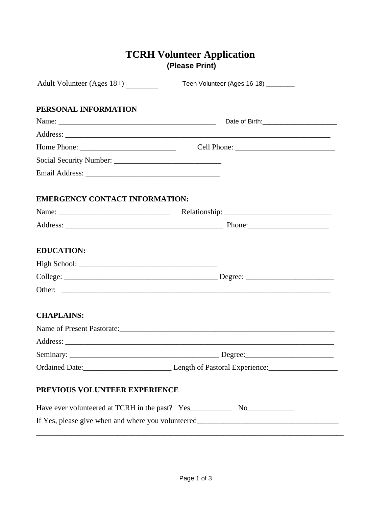# **(Please Print) TCRH Volunteer Application**

| Adult Volunteer (Ages 18+)                                                        | Teen Volunteer (Ages 16-18) ________ |  |
|-----------------------------------------------------------------------------------|--------------------------------------|--|
| PERSONAL INFORMATION                                                              |                                      |  |
|                                                                                   |                                      |  |
|                                                                                   |                                      |  |
|                                                                                   |                                      |  |
|                                                                                   |                                      |  |
|                                                                                   |                                      |  |
| <b>EMERGENCY CONTACT INFORMATION:</b>                                             |                                      |  |
|                                                                                   |                                      |  |
|                                                                                   |                                      |  |
| <b>EDUCATION:</b>                                                                 |                                      |  |
|                                                                                   |                                      |  |
|                                                                                   |                                      |  |
|                                                                                   |                                      |  |
| <b>CHAPLAINS:</b>                                                                 |                                      |  |
| Name of Present Pastorate:                                                        |                                      |  |
|                                                                                   |                                      |  |
|                                                                                   |                                      |  |
| Ordained Date: Length of Pastoral Experience: Length of Pastoral Experience:      |                                      |  |
| PREVIOUS VOLUNTEER EXPERIENCE                                                     |                                      |  |
|                                                                                   |                                      |  |
| If Yes, please give when and where you volunteered_______________________________ |                                      |  |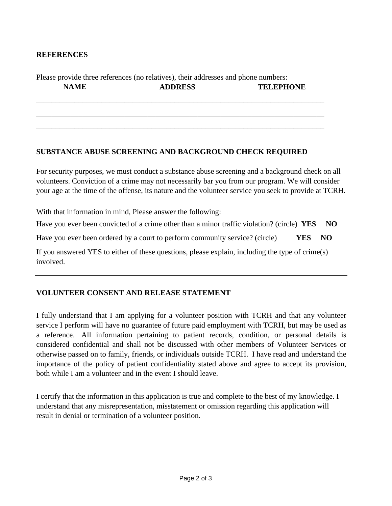## **REFERENCES**

# Please provide three references (no relatives), their addresses and phone numbers: **NAME ADDRESS TELEPHONE**

\_\_\_\_\_\_\_\_\_\_\_\_\_\_\_\_\_\_\_\_\_\_\_\_\_\_\_\_\_\_\_\_\_\_\_\_\_\_\_\_\_\_\_\_\_\_\_\_\_\_\_\_\_\_\_\_\_\_\_\_\_\_\_\_\_\_\_\_\_\_\_\_\_\_\_

\_\_\_\_\_\_\_\_\_\_\_\_\_\_\_\_\_\_\_\_\_\_\_\_\_\_\_\_\_\_\_\_\_\_\_\_\_\_\_\_\_\_\_\_\_\_\_\_\_\_\_\_\_\_\_\_\_\_\_\_\_\_\_\_\_\_\_\_\_\_\_\_\_\_\_

\_\_\_\_\_\_\_\_\_\_\_\_\_\_\_\_\_\_\_\_\_\_\_\_\_\_\_\_\_\_\_\_\_\_\_\_\_\_\_\_\_\_\_\_\_\_\_\_\_\_\_\_\_\_\_\_\_\_\_\_\_\_\_\_\_\_\_\_\_\_\_\_\_\_\_

#### **SUBSTANCE ABUSE SCREENING AND BACKGROUND CHECK REQUIRED**

For security purposes, we must conduct a substance abuse screening and a background check on all volunteers. Conviction of a crime may not necessarily bar you from our program. We will consider your age at the time of the offense, its nature and the volunteer service you seek to provide at TCRH.

With that information in mind, Please answer the following:

Have you ever been convicted of a crime other than a minor traffic violation? (circle) **YES NO**

Have you ever been ordered by a court to perform community service? (circle) **YES NO**

If you answered YES to either of these questions, please explain, including the type of crime(s) involved.

### **VOLUNTEER CONSENT AND RELEASE STATEMENT**

I fully understand that I am applying for a volunteer position with TCRH and that any volunteer service I perform will have no guarantee of future paid employment with TCRH, but may be used as a reference. All information pertaining to patient records, condition, or personal details is considered confidential and shall not be discussed with other members of Volunteer Services or otherwise passed on to family, friends, or individuals outside TCRH. I have read and understand the importance of the policy of patient confidentiality stated above and agree to accept its provision, both while I am a volunteer and in the event I should leave.

I certify that the information in this application is true and complete to the best of my knowledge. I understand that any misrepresentation, misstatement or omission regarding this application will result in denial or termination of a volunteer position.